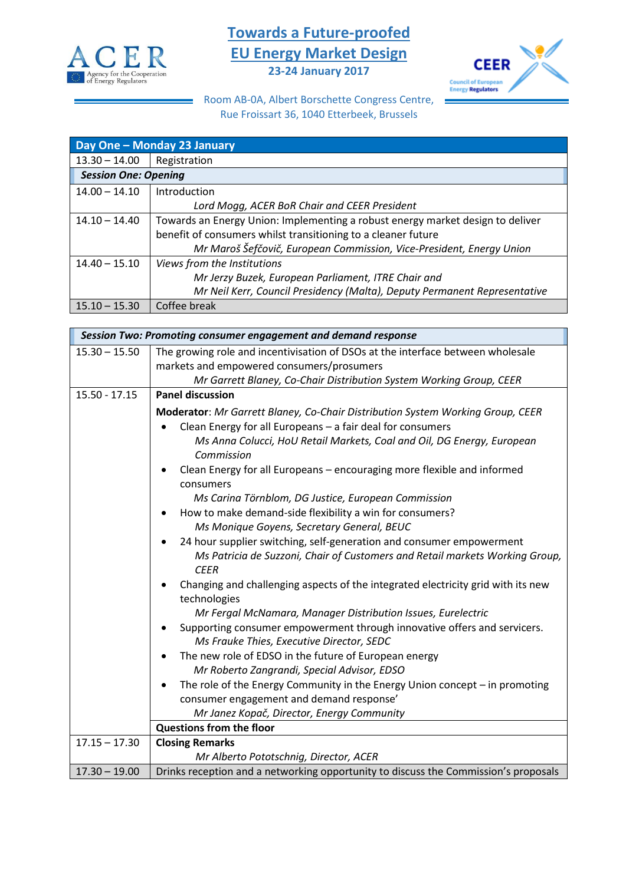

Ξ

## **Towards a Future-proofed EU Energy Market Design 23-24 January 2017**



Room AB-0A, Albert Borschette Congress Centre, Rue Froissart 36, 1040 Etterbeek, Brussels

| Day One - Monday 23 January |                                                                                |  |
|-----------------------------|--------------------------------------------------------------------------------|--|
| $13.30 - 14.00$             | Registration                                                                   |  |
| <b>Session One: Opening</b> |                                                                                |  |
| $14.00 - 14.10$             | Introduction                                                                   |  |
|                             | Lord Mogg, ACER BoR Chair and CEER President                                   |  |
| $14.10 - 14.40$             | Towards an Energy Union: Implementing a robust energy market design to deliver |  |
|                             | benefit of consumers whilst transitioning to a cleaner future                  |  |
|                             | Mr Maroš Šefčovič, European Commission, Vice-President, Energy Union           |  |
| $14.40 - 15.10$             | Views from the Institutions                                                    |  |
|                             | Mr Jerzy Buzek, European Parliament, ITRE Chair and                            |  |
|                             | Mr Neil Kerr, Council Presidency (Malta), Deputy Permanent Representative      |  |
| $15.10 - 15.30$             | Coffee break                                                                   |  |

| Session Two: Promoting consumer engagement and demand response |                                                                                                                                              |
|----------------------------------------------------------------|----------------------------------------------------------------------------------------------------------------------------------------------|
| $15.30 - 15.50$                                                | The growing role and incentivisation of DSOs at the interface between wholesale                                                              |
|                                                                | markets and empowered consumers/prosumers                                                                                                    |
|                                                                | Mr Garrett Blaney, Co-Chair Distribution System Working Group, CEER                                                                          |
| $15.50 - 17.15$                                                | <b>Panel discussion</b>                                                                                                                      |
|                                                                | Moderator: Mr Garrett Blaney, Co-Chair Distribution System Working Group, CEER<br>Clean Energy for all Europeans - a fair deal for consumers |
|                                                                | Ms Anna Colucci, HoU Retail Markets, Coal and Oil, DG Energy, European<br>Commission                                                         |
|                                                                | Clean Energy for all Europeans - encouraging more flexible and informed<br>consumers                                                         |
|                                                                | Ms Carina Törnblom, DG Justice, European Commission                                                                                          |
|                                                                | How to make demand-side flexibility a win for consumers?                                                                                     |
|                                                                | Ms Monique Goyens, Secretary General, BEUC                                                                                                   |
|                                                                | 24 hour supplier switching, self-generation and consumer empowerment                                                                         |
|                                                                | Ms Patricia de Suzzoni, Chair of Customers and Retail markets Working Group,<br><b>CEER</b>                                                  |
|                                                                | Changing and challenging aspects of the integrated electricity grid with its new<br>technologies                                             |
|                                                                | Mr Fergal McNamara, Manager Distribution Issues, Eurelectric                                                                                 |
|                                                                | Supporting consumer empowerment through innovative offers and servicers.<br>Ms Frauke Thies, Executive Director, SEDC                        |
|                                                                | The new role of EDSO in the future of European energy                                                                                        |
|                                                                | Mr Roberto Zangrandi, Special Advisor, EDSO                                                                                                  |
|                                                                | The role of the Energy Community in the Energy Union concept $-$ in promoting                                                                |
|                                                                | consumer engagement and demand response'                                                                                                     |
|                                                                | Mr Janez Kopač, Director, Energy Community                                                                                                   |
|                                                                | <b>Questions from the floor</b>                                                                                                              |
| $17.15 - 17.30$                                                | <b>Closing Remarks</b>                                                                                                                       |
|                                                                | Mr Alberto Pototschnig, Director, ACER                                                                                                       |
| $17.30 - 19.00$                                                | Drinks reception and a networking opportunity to discuss the Commission's proposals                                                          |